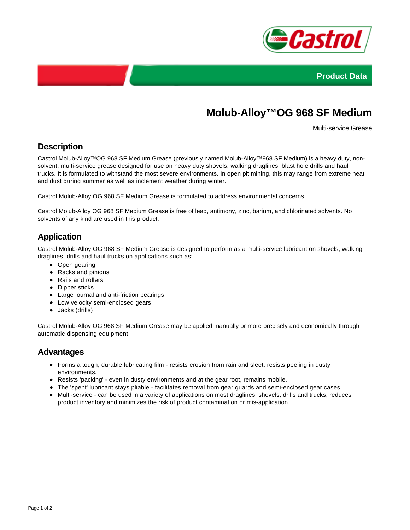



# **Molub-Alloy™OG 968 SF Medium**

Multi-service Grease

### **Description**

Castrol Molub-Alloy™OG 968 SF Medium Grease (previously named Molub-Alloy™968 SF Medium) is a heavy duty, nonsolvent, multi-service grease designed for use on heavy duty shovels, walking draglines, blast hole drills and haul trucks. It is formulated to withstand the most severe environments. In open pit mining, this may range from extreme heat and dust during summer as well as inclement weather during winter.

Castrol Molub-Alloy OG 968 SF Medium Grease is formulated to address environmental concerns.

Castrol Molub-Alloy OG 968 SF Medium Grease is free of lead, antimony, zinc, barium, and chlorinated solvents. No solvents of any kind are used in this product.

## **Application**

Castrol Molub-Alloy OG 968 SF Medium Grease is designed to perform as a multi-service lubricant on shovels, walking draglines, drills and haul trucks on applications such as:

- Open gearing
- Racks and pinions
- Rails and rollers
- Dipper sticks
- Large journal and anti-friction bearings
- Low velocity semi-enclosed gears
- Jacks (drills)

Castrol Molub-Alloy OG 968 SF Medium Grease may be applied manually or more precisely and economically through automatic dispensing equipment.

#### **Advantages**

- Forms a tough, durable lubricating film resists erosion from rain and sleet, resists peeling in dusty environments.
- Resists 'packing' even in dusty environments and at the gear root, remains mobile.
- The 'spent' lubricant stays pliable facilitates removal from gear guards and semi-enclosed gear cases.
- Multi-service can be used in a variety of applications on most draglines, shovels, drills and trucks, reduces product inventory and minimizes the risk of product contamination or mis-application.